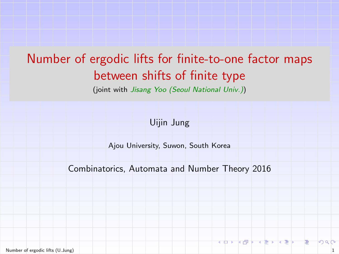# <span id="page-0-0"></span>Number of ergodic lifts for finite-to-one factor maps between shifts of finite type

(joint with Jisang Yoo (Seoul National Univ.))

Uijin Jung

Ajou University, Suwon, South Korea

Combinatorics, Automata and Number Theory 2016

[Number of ergodic lifts](#page-33-0) (U.Jung) 1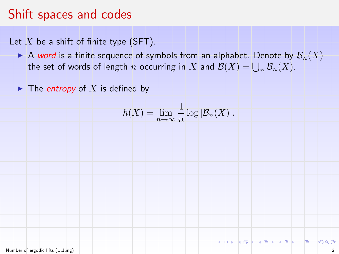## Shift spaces and codes

Let  $X$  be a shift of finite type (SFT).

A word is a finite sequence of symbols from an alphabet. Denote by  $\mathcal{B}_n(X)$ the set of words of length  $n$  occurring in  $X$  and  $\mathcal{B}(X) = \bigcup_n \mathcal{B}_n(X)$ .

 $\blacktriangleright$  The *entropy* of X is defined by

$$
h(X) = \lim_{n \to \infty} \frac{1}{n} \log |\mathcal{B}_n(X)|.
$$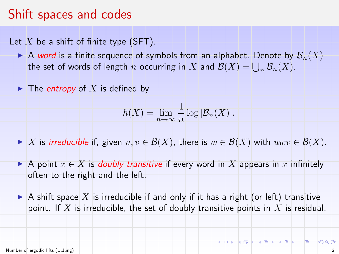### Shift spaces and codes

Let X be a shift of finite type (SFT).

- A word is a finite sequence of symbols from an alphabet. Denote by  $\mathcal{B}_n(X)$ the set of words of length  $n$  occurring in  $X$  and  $\mathcal{B}(X) = \bigcup_n \mathcal{B}_n(X)$ .
- $\blacktriangleright$  The *entropy* of X is defined by

$$
h(X) = \lim_{n \to \infty} \frac{1}{n} \log |\mathcal{B}_n(X)|.
$$

- If X is irreducible if, given  $u, v \in \mathcal{B}(X)$ , there is  $w \in \mathcal{B}(X)$  with  $uwv \in \mathcal{B}(X)$ .
- A point  $x \in X$  is *doubly transitive* if every word in X appears in x infinitely often to the right and the left.
- A shift space X is irreducible if and only if it has a right (or left) transitive point. If  $X$  is irreducible, the set of doubly transitive points in  $X$  is residual.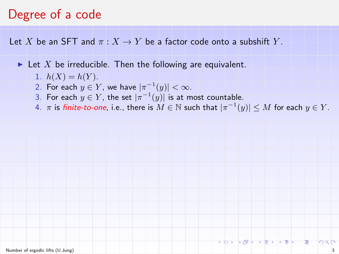#### Degree of a code

Let X be an SFT and  $\pi: X \to Y$  be a factor code onto a subshift Y.

In Let X be irreducible. Then the following are equivalent.

- 1.  $h(X) = h(Y)$ .
- 2. For each  $y \in Y$ , we have  $|\pi^{-1}(y)| < \infty$ .
- 3. For each  $y \in Y$ , the set  $|\pi^{-1}(y)|$  is at most countable.
- $4.$   $\pi$  is finite-to-one, i.e., there is  $M\in\mathbb{N}$  such that  $|\pi^{-1}(y)|\leq M$  for each  $y\in Y.$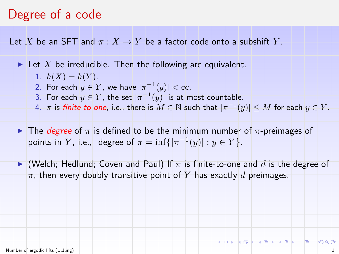#### Degree of a code

Let X be an SFT and  $\pi: X \to Y$  be a factor code onto a subshift Y.

In Let X be irreducible. Then the following are equivalent.

- 1.  $h(X) = h(Y)$ .
- 2. For each  $y \in Y$ , we have  $|\pi^{-1}(y)| < \infty$ .
- 3. For each  $y \in Y$ , the set  $|\pi^{-1}(y)|$  is at most countable.
- $4.$   $\pi$  is finite-to-one, i.e., there is  $M\in\mathbb{N}$  such that  $|\pi^{-1}(y)|\leq M$  for each  $y\in Y.$
- **ID The** *degree* of  $\pi$  is defined to be the minimum number of  $\pi$ -preimages of points in Y, i.e., degree of  $\pi = \inf\{|\pi^{-1}(y)| : y \in Y\}.$
- $\blacktriangleright$  (Welch; Hedlund; Coven and Paul) If  $\pi$  is finite-to-one and d is the degree of  $\pi$ , then every doubly transitive point of Y has exactly d preimages.

 $\sqrt{2}$   $\sqrt{2}$   $\sqrt{2}$   $\sqrt{2}$   $\sqrt{2}$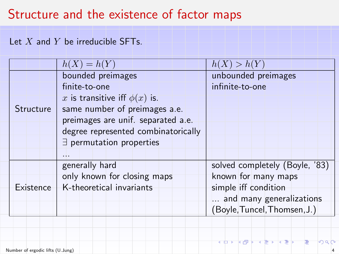### Structure and the existence of factor maps

#### Let  $X$  and  $Y$  be irreducible SFTs.

|           | $h(X) = h(Y)$                       | h(X) > h(Y)                    |
|-----------|-------------------------------------|--------------------------------|
| Structure | bounded preimages                   | unbounded preimages            |
|           | finite-to-one                       | infinite-to-one                |
|           | x is transitive iff $\phi(x)$ is.   |                                |
|           | same number of preimages a.e.       |                                |
|           | preimages are unif. separated a.e.  |                                |
|           | degree represented combinatorically |                                |
|           | $\exists$ permutation properties    |                                |
|           | .                                   |                                |
| Existence | generally hard                      | solved completely (Boyle, '83) |
|           | only known for closing maps         | known for many maps            |
|           | K-theoretical invariants            | simple iff condition           |
|           |                                     | and many generalizations       |
|           |                                     | (Boyle, Tuncel, Thomsen, J.)   |

≺□

向

つつい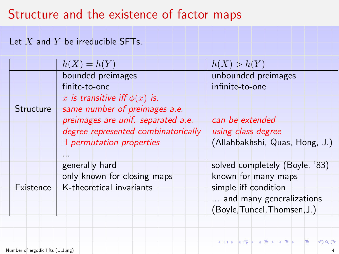### Structure and the existence of factor maps

#### Let  $X$  and  $Y$  be irreducible SFTs.

|           | $h(X) = h(Y)$                       | h(X) > h(Y)                    |
|-----------|-------------------------------------|--------------------------------|
|           | bounded preimages                   | unbounded preimages            |
|           | finite-to-one                       | infinite-to-one                |
|           | x is transitive iff $\phi(x)$ is.   |                                |
| Structure | same number of preimages a.e.       |                                |
|           | preimages are unif. separated a.e.  | can be extended                |
|           | degree represented combinatorically | using class degree             |
|           | $\exists$ permutation properties    | (Allahbakhshi, Quas, Hong, J.) |
|           | .                                   |                                |
| Existence | generally hard                      | solved completely (Boyle, '83) |
|           | only known for closing maps         | known for many maps            |
|           | K-theoretical invariants            | simple iff condition           |
|           |                                     | and many generalizations       |
|           |                                     | (Boyle, Tuncel, Thomsen, J.)   |

≺ ‡⊐⊁ ← う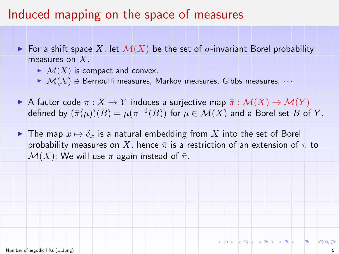#### Induced mapping on the space of measures

- For a shift space X, let  $\mathcal{M}(X)$  be the set of  $\sigma$ -invariant Borel probability measures on X.
	- $\blacktriangleright$   $\mathcal{M}(X)$  is compact and convex.
	- $\blacktriangleright$   $\mathcal{M}(X) \ni$  Bernoulli measures, Markov measures, Gibbs measures,  $\cdots$
- A factor code  $\pi: X \to Y$  induces a surjective map  $\bar{\pi}: \mathcal{M}(X) \to \mathcal{M}(Y)$ defined by  $(\bar{\pi}(\mu))(B) = \mu(\pi^{-1}(B))$  for  $\mu \in \mathcal{M}(X)$  and a Borel set  $B$  of  $Y.$
- In The map  $x \mapsto \delta_x$  is a natural embedding from X into the set of Borel probability measures on X, hence  $\bar{\pi}$  is a restriction of an extension of  $\pi$  to  $\mathcal{M}(X)$ ; We will use  $\pi$  again instead of  $\bar{\pi}$ .

マロー マネン マネン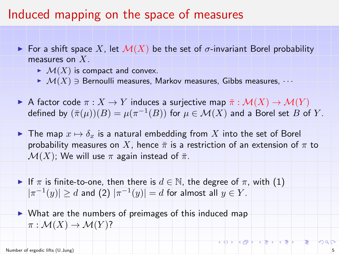#### Induced mapping on the space of measures

- For a shift space X, let  $\mathcal{M}(X)$  be the set of  $\sigma$ -invariant Borel probability measures on X.
	- $\blacktriangleright$   $\mathcal{M}(X)$  is compact and convex.
	- $\blacktriangleright$   $\mathcal{M}(X) \ni$  Bernoulli measures, Markov measures, Gibbs measures,  $\cdots$
- A factor code  $\pi: X \to Y$  induces a surjective map  $\bar{\pi}: \mathcal{M}(X) \to \mathcal{M}(Y)$ defined by  $(\bar{\pi}(\mu))(B) = \mu(\pi^{-1}(B))$  for  $\mu \in \mathcal{M}(X)$  and a Borel set  $B$  of  $Y.$
- In The map  $x \mapsto \delta_x$  is a natural embedding from X into the set of Borel probability measures on X, hence  $\bar{\pi}$  is a restriction of an extension of  $\pi$  to  $\mathcal{M}(X)$ ; We will use  $\pi$  again instead of  $\bar{\pi}$ .
- If  $\pi$  is finite-to-one, then there is  $d \in \mathbb{N}$ , the degree of  $\pi$ , with (1)  $|\pi^{-1}(y)| \ge d$  and  $(2)$   $|\pi^{-1}(y)| = d$  for almost all  $y \in Y$ .
- $\triangleright$  What are the numbers of preimages of this induced map  $\pi : \mathcal{M}(X) \to \mathcal{M}(Y)$ ?

つくい

KORKORKERKER E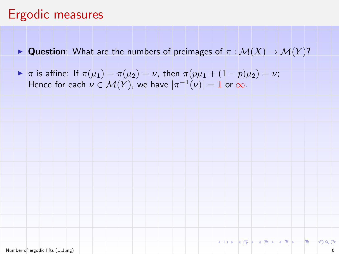### Ergodic measures

- **IDED** Question: What are the numbers of preimages of  $\pi : \mathcal{M}(X) \to \mathcal{M}(Y)$ ?
- $\blacktriangleright \pi$  is affine: If  $\pi(\mu_1) = \pi(\mu_2) = \nu$ , then  $\pi(p\mu_1 + (1-p)\mu_2) = \nu$ ; Hence for each  $\nu \in \mathcal{M}(Y)$ , we have  $|\pi^{-1}(\nu)| = 1$  or  $\infty$ .

つへぐ

トロー イミー イミー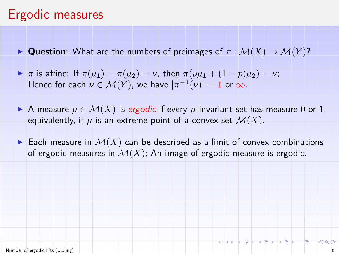## Ergodic measures

- **IDUESTARKION:** What are the numbers of preimages of  $\pi : \mathcal{M}(X) \to \mathcal{M}(Y)$ ?
- $\blacktriangleright \pi$  is affine: If  $\pi(\mu_1) = \pi(\mu_2) = \nu$ , then  $\pi(p\mu_1 + (1-p)\mu_2) = \nu$ ; Hence for each  $\nu \in \mathcal{M}(Y)$ , we have  $|\pi^{-1}(\nu)| = 1$  or  $\infty$ .
- A measure  $\mu \in \mathcal{M}(X)$  is ergodic if every  $\mu$ -invariant set has measure 0 or 1, equivalently, if  $\mu$  is an extreme point of a convex set  $\mathcal{M}(X)$ .
- Each measure in  $\mathcal{M}(X)$  can be described as a limit of convex combinations of ergodic measures in  $\mathcal{M}(X)$ . An image of ergodic measure is ergodic.

化四十八倍 医人生区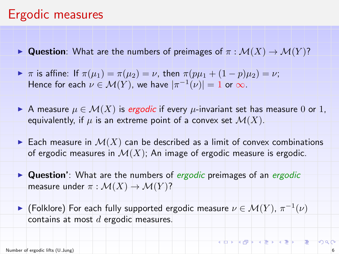### Ergodic measures

- **IDUESTARKION:** What are the numbers of preimages of  $\pi : \mathcal{M}(X) \to \mathcal{M}(Y)$ ?
- $\blacktriangleright \pi$  is affine: If  $\pi(\mu_1) = \pi(\mu_2) = \nu$ , then  $\pi(p\mu_1 + (1-p)\mu_2) = \nu$ ; Hence for each  $\nu \in \mathcal{M}(Y)$ , we have  $|\pi^{-1}(\nu)| = 1$  or  $\infty$ .
- A measure  $\mu \in \mathcal{M}(X)$  is ergodic if every  $\mu$ -invariant set has measure 0 or 1, equivalently, if  $\mu$  is an extreme point of a convex set  $\mathcal{M}(X)$ .
- Each measure in  $\mathcal{M}(X)$  can be described as a limit of convex combinations of ergodic measures in  $\mathcal{M}(X)$ . An image of ergodic measure is ergodic.
- $\triangleright$  Question': What are the numbers of *ergodic* preimages of an *ergodic* measure under  $\pi : \mathcal{M}(X) \to \mathcal{M}(Y)$ ?
- ► (Folklore) For each fully supported ergodic measure  $\nu \in \mathcal{M}(Y)$ ,  $\pi^{-1}(\nu)$ contains at most  $d$  ergodic measures.

 $2990$ 

KORKORKERKER ET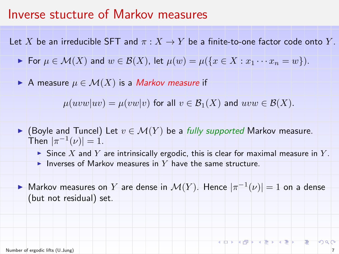#### Inverse stucture of Markov measures

Let X be an irreducible SFT and  $\pi : X \to Y$  be a finite-to-one factor code onto Y.

- For  $\mu \in \mathcal{M}(X)$  and  $w \in \mathcal{B}(X)$ , let  $\mu(w) = \mu({x \in X : x_1 \cdots x_n = w}).$
- A measure  $\mu \in \mathcal{M}(X)$  is a Markov measure if

 $\mu(uvw|uv) = \mu(vw|v)$  for all  $v \in \mathcal{B}_1(X)$  and  $uvw \in \mathcal{B}(X)$ .

- ► (Boyle and Tuncel) Let  $v \in \mathcal{M}(Y)$  be a fully supported Markov measure. Then  $|\pi^{-1}(\nu)| = 1$ .
	- In Since X and Y are intrinsically ergodic, this is clear for maximal measure in Y.
	- Inverses of Markov measures in Y have the same structure.

► Markov measures on Y are dense in  $\mathcal{M}(Y)$ . Hence  $|\pi^{-1}(\nu)| = 1$  on a dense (but not residual) set.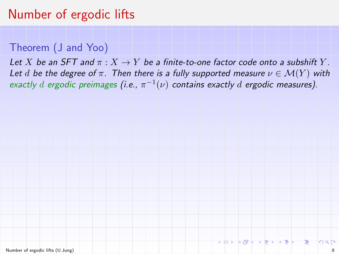#### Theorem (J and Yoo)

Let X be an SFT and  $\pi: X \to Y$  be a finite-to-one factor code onto a subshift Y. Let d be the degree of  $\pi$ . Then there is a fully supported measure  $\nu \in \mathcal{M}(Y)$  with exactly  $d$  ergodic preimages (i.e.,  $\pi^{-1}(\nu)$  contains exactly  $d$  ergodic measures).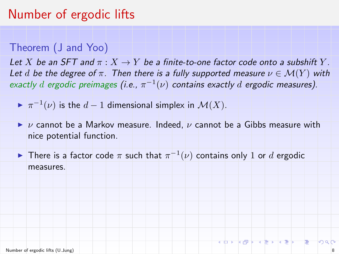#### Theorem (J and Yoo)

Let X be an SFT and  $\pi$  :  $X \to Y$  be a finite-to-one factor code onto a subshift Y. Let d be the degree of  $\pi$ . Then there is a fully supported measure  $\nu \in \mathcal{M}(Y)$  with exactly  $d$  ergodic preimages (i.e.,  $\pi^{-1}(\nu)$  contains exactly  $d$  ergodic measures).

 $\blacktriangleright \pi^{-1}(\nu)$  is the  $d-1$  dimensional simplex in  $\mathcal{M}(X)$ .

 $\triangleright$  v cannot be a Markov measure. Indeed, v cannot be a Gibbs measure with nice potential function.

► There is a factor code  $\pi$  such that  $\pi^{-1}(\nu)$  contains only 1 or  $d$  ergodic measures.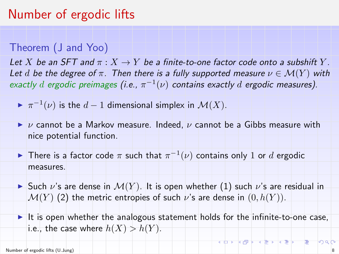#### Theorem (J and Yoo)

Let X be an SFT and  $\pi: X \to Y$  be a finite-to-one factor code onto a subshift Y. Let d be the degree of  $\pi$ . Then there is a fully supported measure  $\nu \in \mathcal{M}(Y)$  with exactly  $d$  ergodic preimages (i.e.,  $\pi^{-1}(\nu)$  contains exactly  $d$  ergodic measures).

 $\blacktriangleright \pi^{-1}(\nu)$  is the  $d-1$  dimensional simplex in  $\mathcal{M}(X)$ .

- $\triangleright$  v cannot be a Markov measure. Indeed, v cannot be a Gibbs measure with nice potential function.
- ► There is a factor code  $\pi$  such that  $\pi^{-1}(\nu)$  contains only 1 or  $d$  ergodic measures.
- In Such  $\nu$ 's are dense in  $\mathcal{M}(Y)$ . It is open whether (1) such  $\nu$ 's are residual in  $\mathcal{M}(Y)$  (2) the metric entropies of such v's are dense in  $(0, h(Y))$ .
- It is open whether the analogous statement holds for the infinite-to-one case, i.e., the case where  $h(X) > h(Y)$ .

 $2990$ 

**지수가 지금 지수가 지수가 되는**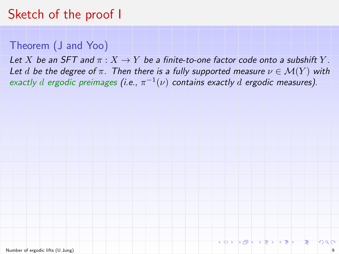# Sketch of the proof I

#### Theorem (J and Yoo)

Let X be an SFT and  $\pi: X \to Y$  be a finite-to-one factor code onto a subshift Y. Let d be the degree of  $\pi$ . Then there is a fully supported measure  $\nu \in \mathcal{M}(Y)$  with exactly d ergodic preimages (i.e.,  $\pi^{-1}(\nu)$  contains exactly d ergodic measures).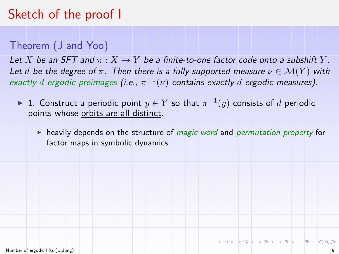## Sketch of the proof I

#### Theorem (J and Yoo)

Let X be an SFT and  $\pi: X \to Y$  be a finite-to-one factor code onto a subshift Y. Let d be the degree of  $\pi$ . Then there is a fully supported measure  $\nu \in \mathcal{M}(Y)$  with exactly d ergodic preimages (i.e.,  $\pi^{-1}(\nu)$  contains exactly d ergodic measures).

- ► 1. Construct a periodic point  $y \in Y$  so that  $\pi^{-1}(y)$  consists of  $d$  periodic points whose orbits are all distinct.
	- $\blacktriangleright$  heavily depends on the structure of *magic word* and *permutation property* for factor maps in symbolic dynamics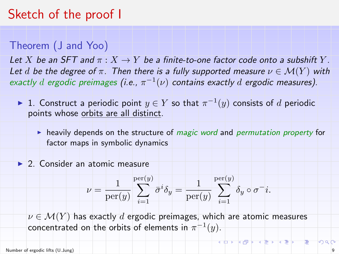### Sketch of the proof I

#### Theorem (J and Yoo)

Let X be an SFT and  $\pi$  :  $X \to Y$  be a finite-to-one factor code onto a subshift Y. Let d be the degree of  $\pi$ . Then there is a fully supported measure  $\nu \in \mathcal{M}(Y)$  with exactly d ergodic preimages (i.e.,  $\pi^{-1}(\nu)$  contains exactly d ergodic measures).

- ► 1. Construct a periodic point  $y \in Y$  so that  $\pi^{-1}(y)$  consists of  $d$  periodic points whose orbits are all distinct.
	- $\blacktriangleright$  heavily depends on the structure of *magic word* and *permutation property* for factor maps in symbolic dynamics

#### ▶ 2. Consider an atomic measure

$$
\nu = \frac{1}{\text{per}(y)} \sum_{i=1}^{\text{per}(y)} \bar{\sigma}^i \delta_y = \frac{1}{\text{per}(y)} \sum_{i=1}^{\text{per}(y)} \delta_y \circ \sigma^- i.
$$

 $\nu \in \mathcal{M}(Y)$  has exactly d ergodic preimages, which are atomic measures concentrated on the orbits of elements in  $\pi^{-1}(y)$ .

イロン イタン イミン イミン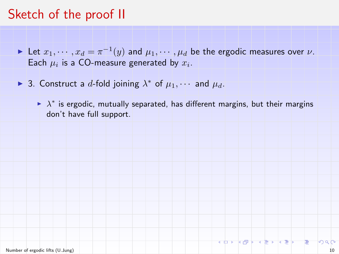### Sketch of the proof II

- ► Let  $x_1, \cdots, x_d = \pi^{-1}(y)$  and  $\mu_1, \cdots, \mu_d$  be the ergodic measures over  $\nu$ . Each  $\mu_i$  is a CO-measure generated by  $x_i$ .
- ► 3. Construct a d-fold joining  $\lambda^*$  of  $\mu_1, \cdots$  and  $\mu_d$ .
	- $\blacktriangleright$   $\lambda^*$  is ergodic, mutually separated, has different margins, but their margins don't have full support.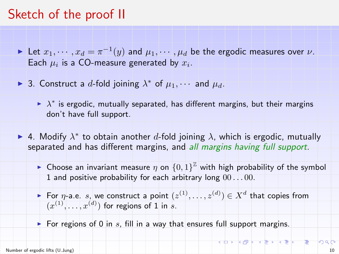### Sketch of the proof II

- ► Let  $x_1, \cdots, x_d = \pi^{-1}(y)$  and  $\mu_1, \cdots, \mu_d$  be the ergodic measures over  $\nu$ . Each  $\mu_i$  is a CO-measure generated by  $x_i$ .
- ► 3. Construct a d-fold joining  $\lambda^*$  of  $\mu_1, \cdots$  and  $\mu_d$ .
	- $\blacktriangleright$   $\lambda^*$  is ergodic, mutually separated, has different margins, but their margins don't have full support.
- A. Modify  $\lambda^*$  to obtain another d-fold joining  $\lambda$ , which is ergodic, mutually separated and has different margins, and all margins having full support.
	- **•** Choose an invariant measure  $\eta$  on  $\{0,1\}^{\mathbb{Z}}$  with high probability of the symbol 1 and positive probability for each arbitrary long  $00...00$ .
	- For  $\eta$ -a.e. s, we construct a point  $(z^{(1)}, \ldots, z^{(d)}) \in X^d$  that copies from  $(x^{(1)},...,x^{(d)})$  for regions of 1 in s.
	- For regions of 0 in s, fill in a way that ensures full support margins.

**KORKORKERKER E**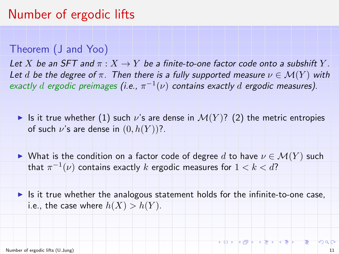#### Theorem (J and Yoo)

Let X be an SFT and  $\pi$  :  $X \to Y$  be a finite-to-one factor code onto a subshift Y. Let d be the degree of  $\pi$ . Then there is a fully supported measure  $\nu \in \mathcal{M}(Y)$  with exactly  $d$  ergodic preimages (i.e.,  $\pi^{-1}(\nu)$  contains exactly  $d$  ergodic measures).

Is it true whether (1) such  $\nu$ 's are dense in  $\mathcal{M}(Y)$ ? (2) the metric entropies of such  $\nu$ 's are dense in  $(0, h(Y))$ ?.

In What is the condition on a factor code of degree d to have  $\nu \in \mathcal{M}(Y)$  such that  $\pi^{-1}(\nu)$  contains exactly  $k$  ergodic measures for  $1 < k < d$ ?

Is it true whether the analogous statement holds for the infinite-to-one case, i.e., the case where  $h(X) > h(Y)$ .

K D K K D K K E K K E K T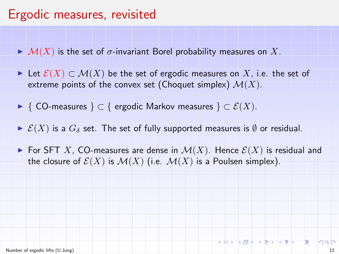### Ergodic measures, revisited

- $\blacktriangleright M(X)$  is the set of  $\sigma$ -invariant Borel probability measures on X.
- $\triangleright$  Let  $\mathcal{E}(X) \subset \mathcal{M}(X)$  be the set of ergodic measures on X, i.e. the set of extreme points of the convex set (Choquet simplex)  $\mathcal{M}(X)$ .
- ► { CO-measures }  $\subset$  { ergodic Markov measures }  $\subset$   $\mathcal{E}(X)$ .
- $\triangleright$   $\mathcal{E}(X)$  is a  $G_{\delta}$  set. The set of fully supported measures is  $\emptyset$  or residual.
- For SFT X, CO-measures are dense in  $\mathcal{M}(X)$ . Hence  $\mathcal{E}(X)$  is residual and the closure of  $\mathcal{E}(X)$  is  $\mathcal{M}(X)$  (i.e.  $\mathcal{M}(X)$  is a Poulsen simplex).

マラト マミト マミトー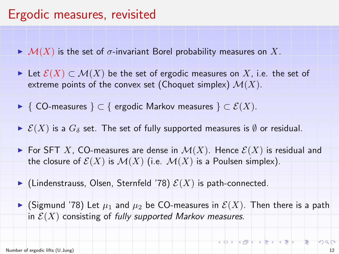### Ergodic measures, revisited

- $\blacktriangleright M(X)$  is the set of  $\sigma$ -invariant Borel probability measures on X.
- $\triangleright$  Let  $\mathcal{E}(X) \subset \mathcal{M}(X)$  be the set of ergodic measures on X, i.e. the set of extreme points of the convex set (Choquet simplex)  $\mathcal{M}(X)$ .
- ► { CO-measures }  $\subset$  { ergodic Markov measures }  $\subset$   $\mathcal{E}(X)$ .
- $\triangleright$   $\mathcal{E}(X)$  is a  $G_{\delta}$  set. The set of fully supported measures is  $\emptyset$  or residual.
- For SFT X, CO-measures are dense in  $\mathcal{M}(X)$ . Hence  $\mathcal{E}(X)$  is residual and the closure of  $\mathcal{E}(X)$  is  $\mathcal{M}(X)$  (i.e.  $\mathcal{M}(X)$  is a Poulsen simplex).
- Indenstrauss, Olsen, Sternfeld '78)  $\mathcal{E}(X)$  is path-connected.
- $\blacktriangleright$  (Sigmund '78) Let  $\mu_1$  and  $\mu_2$  be CO-measures in  $\mathcal{E}(X)$ . Then there is a path in  $\mathcal{E}(X)$  consisting of fully supported Markov measures.

**KORKORKERKER E**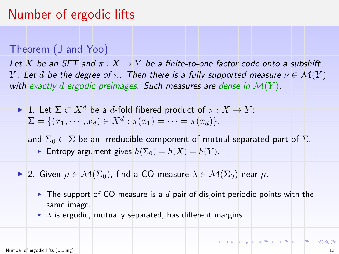#### Theorem (J and Yoo)

Let X be an SFT and  $\pi: X \to Y$  be a finite-to-one factor code onto a subshift Y. Let d be the degree of  $\pi$ . Then there is a fully supported measure  $\nu \in \mathcal{M}(Y)$ with exactly d ergodic preimages. Such measures are dense in  $\mathcal{M}(Y)$ .

 $\blacktriangleright$  1. Let  $\Sigma \subset X^d$  be a d-fold fibered product of  $\pi : X \to Y$ :  $\Sigma = \{ (x_1, \dots, x_d) \in X^d : \pi(x_1) = \dots = \pi(x_d) \}.$ 

and  $\Sigma_0 \subset \Sigma$  be an irreducible component of mutual separated part of  $\Sigma$ . Entropy argument gives  $h(\Sigma_0) = h(X) = h(Y)$ .

- $\blacktriangleright$  2. Given  $\mu \in \mathcal{M}(\Sigma_0)$ , find a CO-measure  $\lambda \in \mathcal{M}(\Sigma_0)$  near  $\mu$ .
	- $\blacktriangleright$  The support of CO-measure is a d-pair of disjoint periodic points with the same image.
	- $\blacktriangleright$   $\lambda$  is ergodic, mutually separated, has different margins.

KORKORKERKER E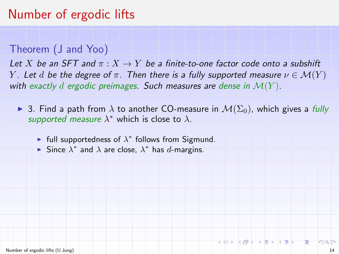#### Theorem (J and Yoo)

Let X be an SFT and  $\pi: X \to Y$  be a finite-to-one factor code onto a subshift Y. Let d be the degree of  $\pi$ . Then there is a fully supported measure  $\nu \in \mathcal{M}(Y)$ with exactly d ergodic preimages. Such measures are dense in  $\mathcal{M}(Y)$ .

 $\blacktriangleright$  3. Find a path from  $\lambda$  to another CO-measure in  $\mathcal{M}(\Sigma_0)$ , which gives a fully supported measure  $\lambda^*$  which is close to  $\lambda$ .

- Full supportedness of  $\lambda^*$  follows from Sigmund.
- ► Since  $\lambda^*$  and  $\lambda$  are close,  $\lambda^*$  has d-margins.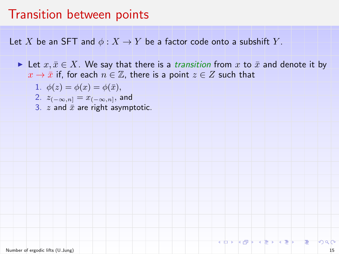Let X be an SFT and  $\phi: X \to Y$  be a factor code onto a subshift Y.

- In Let  $x, \bar{x} \in X$ . We say that there is a *transition* from x to  $\bar{x}$  and denote it by  $x \to \bar{x}$  if, for each  $n \in \mathbb{Z}$ , there is a point  $z \in Z$  such that
	- 1.  $\phi(z) = \phi(x) = \phi(\bar{x}),$
	- 2.  $z_{(-\infty,n]}=x_{(-\infty,n]},$  and
	- 3.  $z$  and  $\bar{x}$  are right asymptotic.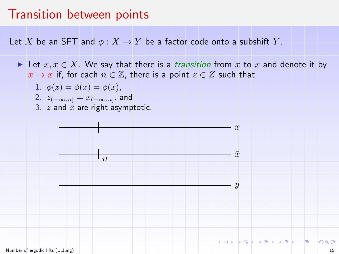Let X be an SFT and  $\phi: X \to Y$  be a factor code onto a subshift Y.

In Let  $x, \bar{x} \in X$ . We say that there is a *transition* from x to  $\bar{x}$  and denote it by  $x \to \bar{x}$  if, for each  $n \in \mathbb{Z}$ , there is a point  $z \in Z$  such that

x

 $\bar{x}$ 

 $\boldsymbol{y}$ 

- 1.  $\phi(z) = \phi(x) = \phi(\bar{x}),$
- 2.  $z_{(-\infty,n]}=x_{(-\infty,n]},$  and
- 3.  $z$  and  $\bar{x}$  are right asymptotic.

 $n_{\eta}$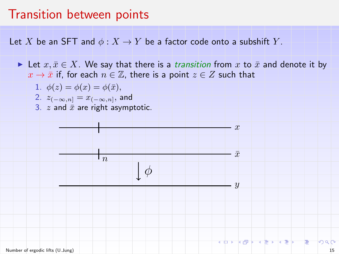Let X be an SFT and  $\phi: X \to Y$  be a factor code onto a subshift Y.

In Let  $x, \bar{x} \in X$ . We say that there is a *transition* from x to  $\bar{x}$  and denote it by  $x \to \bar{x}$  if, for each  $n \in \mathbb{Z}$ , there is a point  $z \in Z$  such that

 $\boldsymbol{y}$ 

$$
1. \ \ \phi(z) = \phi(x) = \phi(\bar{x}),
$$

- 2.  $z_{(-\infty,n]}=x_{(-\infty,n]},$  and
- 3.  $z$  and  $\bar{x}$  are right asymptotic.

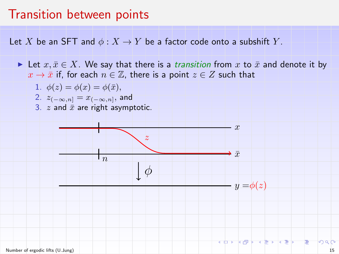Let X be an SFT and  $\phi: X \to Y$  be a factor code onto a subshift Y.

In Let  $x, \bar{x} \in X$ . We say that there is a *transition* from x to  $\bar{x}$  and denote it by  $x \to \bar{x}$  if, for each  $n \in \mathbb{Z}$ , there is a point  $z \in Z$  such that

$$
1. \ \ \phi(z) = \phi(x) = \phi(\bar{x}),
$$

- 2.  $z_{(-\infty,n]}=x_{(-\infty,n]},$  and
- 3.  $z$  and  $\bar{x}$  are right asymptotic.

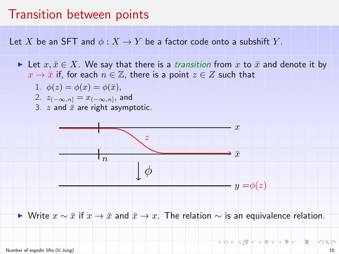<span id="page-30-0"></span>Let X be an SFT and  $\phi: X \to Y$  be a factor code onto a subshift Y.

In Let  $x, \bar{x} \in X$ . We say that there is a *transition* from x to  $\bar{x}$  and denote it by  $x \to \bar{x}$  if, for each  $n \in \mathbb{Z}$ , there is a point  $z \in Z$  such that

$$
1. \ \ \phi(z) = \phi(x) = \phi(\bar{x}),
$$

- 2.  $z_{(-\infty,n]}=x_{(-\infty,n]},$  and
- 3.  $z$  and  $\bar{x}$  are right asymptotic.



► Write  $x \sim \bar{x}$  if  $x \to \bar{x}$  and  $\bar{x} \to x$ . The relation  $\sim$  is an equivalence relation.

化配子 医霍夫氏定体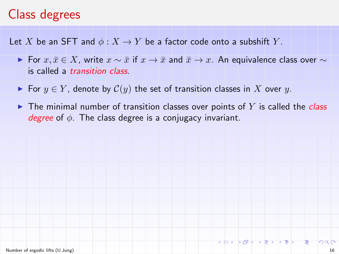# <span id="page-31-0"></span>Class degrees

Let X be an SFT and  $\phi: X \to Y$  be a factor code onto a subshift Y.

- ► For  $x, \bar{x} \in X$ , write  $x \sim \bar{x}$  if  $x \to \bar{x}$  and  $\bar{x} \to x$ . An equivalence class over  $\sim$ is called a transition class.
- For  $y \in Y$ , denote by  $\mathcal{C}(y)$  the set of transition classes in X over y.
- In The minimal number of transition classes over points of Y is called the class degree of  $\phi$ . The class degree is a conjugacy invariant.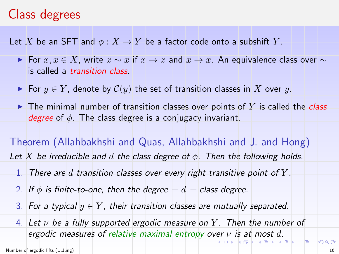### <span id="page-32-0"></span>Class degrees

Let X be an SFT and  $\phi: X \to Y$  be a factor code onto a subshift Y.

- ► For  $x, \bar{x} \in X$ , write  $x \sim \bar{x}$  if  $x \to \bar{x}$  and  $\bar{x} \to x$ . An equivalence class over  $\sim$ is called a transition class.
- ► For  $y \in Y$ , denote by  $C(y)$  the set of transition classes in X over y.
- In The minimal number of transition classes over points of Y is called the class degree of  $\phi$ . The class degree is a conjugacy invariant.

Theorem (Allahbakhshi and Quas, Allahbakhshi and J. and Hong) Let X be irreducible and d the class degree of  $\phi$ . Then the following holds.

- 1. There are d transition classes over every right transitive point of  $Y$ .
- 2. If  $\phi$  is finite-to-one, then the degree  $=d =$  class degree.
- 3. For a typical  $y \in Y$ , their transition classes are mutually separated.
- 4. Let  $\nu$  be a fully supported ergodic measure on Y. Then the number of [er](#page-31-0)godic measures of rela[t](#page-32-0)ivemaximal entropy over  $\nu$  [is](#page-30-0) [a](#page-31-0)t [mo](#page-0-0)[st](#page-33-0) [d](#page-0-0)[.](#page-0-0)

大唐木